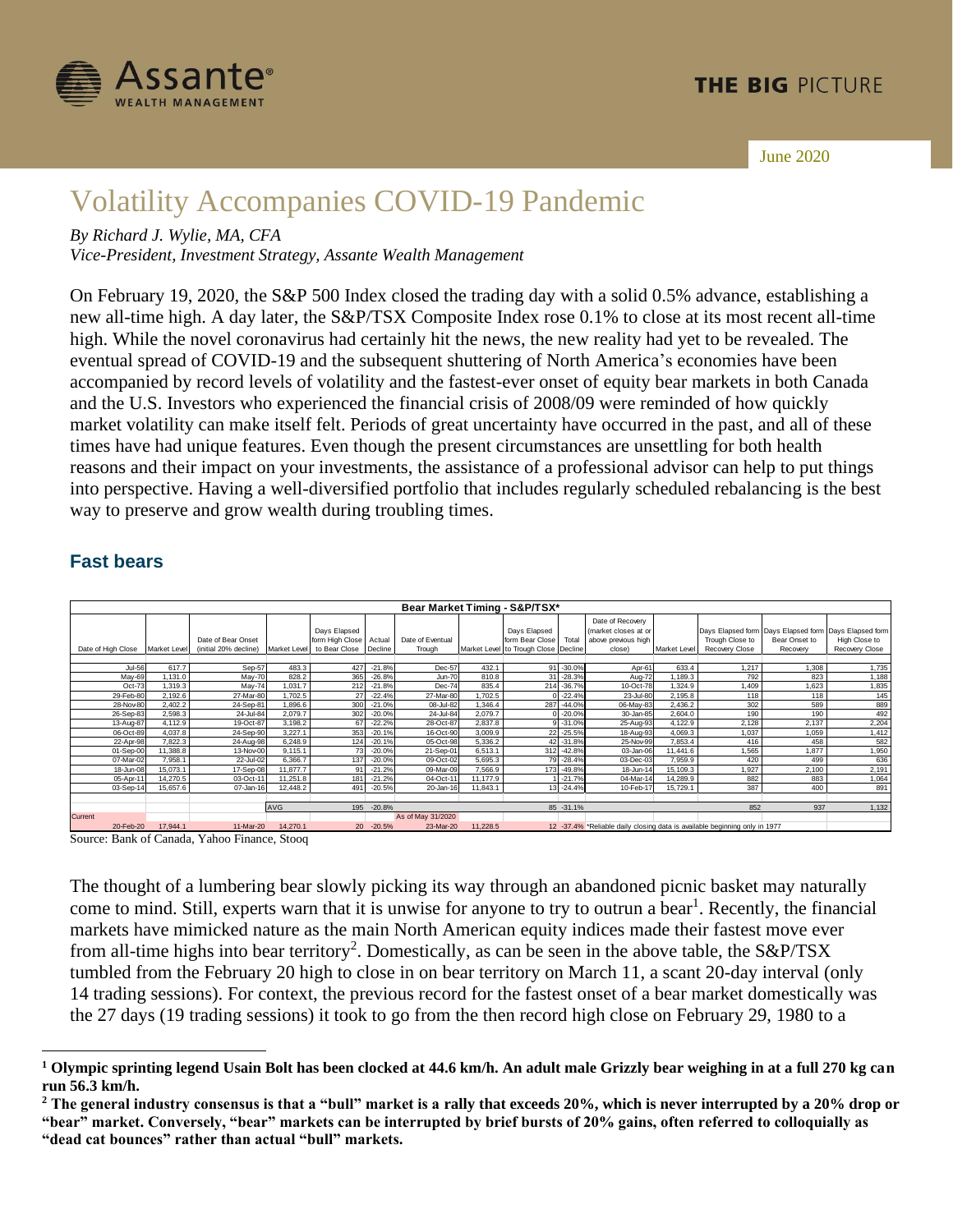

June 2020

# Volatility Accompanies COVID-19 Pandemic

*By Richard J. Wylie, MA, CFA*

*Vice-President, Investment Strategy, Assante Wealth Management*

On February 19, 2020, the S&P 500 Index closed the trading day with a solid 0.5% advance, establishing a new all-time high. A day later, the S&P/TSX Composite Index rose 0.1% to close at its most recent all-time high. While the novel coronavirus had certainly hit the news, the new reality had yet to be revealed. The eventual spread of COVID-19 and the subsequent shuttering of North America's economies have been accompanied by record levels of volatility and the fastest-ever onset of equity bear markets in both Canada and the U.S. Investors who experienced the financial crisis of 2008/09 were reminded of how quickly market volatility can make itself felt. Periods of great uncertainty have occurred in the past, and all of these times have had unique features. Even though the present circumstances are unsettling for both health reasons and their impact on your investments, the assistance of a professional advisor can help to put things into perspective. Having a well-diversified portfolio that includes regularly scheduled rebalancing is the best way to preserve and grow wealth during troubling times.

|                                              |               |                    |                                                                                                                                                                                                                            |                    |                                 |                      | Bear Market Timing - S&P/TSX* |                    |                                      |                           |                                                                            |                    |                                      |                                    |                                    |
|----------------------------------------------|---------------|--------------------|----------------------------------------------------------------------------------------------------------------------------------------------------------------------------------------------------------------------------|--------------------|---------------------------------|----------------------|-------------------------------|--------------------|--------------------------------------|---------------------------|----------------------------------------------------------------------------|--------------------|--------------------------------------|------------------------------------|------------------------------------|
|                                              |               |                    | Date of Bear Onset                                                                                                                                                                                                         |                    | Days Elapsed<br>form High Close | Actual               | Date of Eventual              |                    | Days Elapsed<br>form Bear Close      | Total                     | Date of Recovery<br>market closes at or<br>above previous high             |                    | Days Elapsed form<br>Trough Close to | Days Elapsed form<br>Bear Onset to | Days Elapsed form<br>High Close to |
| Date of High Close   Market Level            |               |                    | (initial 20% decline)                                                                                                                                                                                                      | Market Level       | to Bear Close                   | Decline              | Trough                        |                    | Market Level to Trough Close Decline |                           | close)                                                                     | Market Level       | <b>Recovery Close</b>                | Recovery                           | <b>Recovery Close</b>              |
|                                              | <b>Jul-56</b> | 617.7              | Sep-57                                                                                                                                                                                                                     | 483.3              | 427                             | $-21.8%$             | Dec-57                        | 432.1              |                                      | 91 - 30.0%                | Apr-61                                                                     | 633.4              | 1,217                                | 1,308                              | 1,735                              |
|                                              | May-69        | 1,131.0            | May-70                                                                                                                                                                                                                     | 828.2              | 365                             | $-26.8%$             | <b>Jun-70</b>                 | 810.8              |                                      | 31 -28.3%                 | Aug-72                                                                     | 1,189.3            | 792                                  | 823                                | 1,188                              |
|                                              | Oct-73        | 1,319.3            | May-74                                                                                                                                                                                                                     | 1,031.7            | 212                             | $-21.8%$             | Dec-74                        | 835.4              |                                      | 214 - 36.7%               | 10-Oct-78                                                                  | 1,324.9            | 1,409                                | 1,623                              | 1,835                              |
| 29-Feb-80                                    |               | 2,192.6            | 27-Mar-80                                                                                                                                                                                                                  | 1,702.5            | 27                              | $-22.4%$             | 27-Mar-80                     | 1,702.5            |                                      | $0 - 22.4%$               | 23-Jul-80                                                                  | 2,195.8            | 118                                  | 118                                | 145                                |
| 28-Nov-80                                    |               | 2,402.2            | 24-Sep-81                                                                                                                                                                                                                  | 1,896.6            | 300                             | $-21.0%$             | 08-Jul-82                     | 1,346.4            |                                      | 287 -44.0%                | 06-May-83                                                                  | 2,436.2            | 302                                  | 589                                | 889                                |
| 26-Sep-83                                    |               | 2,598.3            | 24-Jul-84                                                                                                                                                                                                                  | 2,079.7            | 302                             | $-20.0%$             | 24-Jul-84                     | 2,079.7            | 0                                    | $-20.0%$                  | 30-Jan-85                                                                  | 2,604.0            | 190                                  | 190                                | 492                                |
| 13-Aug-87<br>06-Oct-89                       |               | 4,112.9<br>4,037.8 | 19-Oct-87<br>24-Sep-90                                                                                                                                                                                                     | 3,198.2<br>3,227.1 | 67<br>353                       | $-22.2%$<br>$-20.1%$ | 28-Oct-87<br>16-Oct-90        | 2,837.8<br>3,009.9 |                                      | $9 - 31.0%$<br>22 - 25.5% | 25-Aug-93<br>18-Aug-93                                                     | 4,122.9<br>4,069.3 | 2,128<br>1,037                       | 2,137<br>1,059                     | 2,204<br>1,412                     |
| 22-Apr-98                                    |               | 7,822.3            | 24-Aug-98                                                                                                                                                                                                                  | 6,248.9            | 124                             | $-20.1%$             | 05-Oct-98                     | 5,336.2            |                                      | 42 - 31.8%                | 25-Nov-99                                                                  | 7,853.4            | 416                                  | 458                                | 582                                |
| 01-Sep-00                                    |               | 11,388.8           | 13-Nov-00                                                                                                                                                                                                                  | 9,115.1            | 73                              | $-20.0%$             | 21-Sep-01                     | 6,513.1            |                                      | 312 -42.8%                | 03-Jan-06                                                                  | 11,441.6           | 1,565                                | 1,877                              | 1,950                              |
| 07-Mar-02                                    |               | 7,958.1            | 22-Jul-02                                                                                                                                                                                                                  | 6,366.7            | 137                             | $-20.0%$             | 09-Oct-02                     | 5,695.3            |                                      | 79 - 28.4%                | 03-Dec-03                                                                  | 7,959.9            | 420                                  | 499                                | 636                                |
| 18-Jun-08                                    |               | 15,073.1           | 17-Sep-08                                                                                                                                                                                                                  | 11,877.7           | 91                              | $-21.2%$             | 09-Mar-09                     | 7,566.9            |                                      | 173 -49.8%                | 18-Jun-14                                                                  | 15,109.3           | 1,927                                | 2,100                              | 2,191                              |
| 05-Apr-11                                    |               | 14,270.5           | 03-Oct-11                                                                                                                                                                                                                  | 11,251.8           | 181                             | $-21.2%$             | 04-Oct-11                     | 11, 177.9          |                                      | 1 -21.7%                  | 04-Mar-14                                                                  | 14,289.9           | 882                                  | 883                                | 1,064                              |
| 03-Sep-14                                    |               | 15,657.6           | 07-Jan-16                                                                                                                                                                                                                  | 12,448.2           | 491                             | $-20.5%$             | 20-Jan-16                     | 11,843.1           |                                      | 13 - 24.4%                | 10-Feb-17                                                                  | 15,729.1           | 387                                  | 400                                | 891                                |
|                                              |               |                    |                                                                                                                                                                                                                            | AVG                |                                 | 195 -20.8%           |                               |                    |                                      | 85 - 31.1%                |                                                                            |                    | 852                                  | 937                                | 1,132                              |
| Current                                      |               |                    |                                                                                                                                                                                                                            |                    |                                 |                      | As of May 31/2020             |                    |                                      |                           |                                                                            |                    |                                      |                                    |                                    |
| 20-Feb-20                                    |               | 17,944.1           | 11-Mar-20                                                                                                                                                                                                                  | 14,270.1           |                                 | 20 - 20.5%           | 23-Mar-20                     | 11,228.5           |                                      |                           | 12 -37.4% *Reliable daily closing data is available beginning only in 1977 |                    |                                      |                                    |                                    |
| Source: Bank of Canada, Yahoo Finance, Stooq |               |                    | The thought of a lumbering bear slowly picking its way through an abandoned picnic basket may naturally                                                                                                                    |                    |                                 |                      |                               |                    |                                      |                           |                                                                            |                    |                                      |                                    |                                    |
|                                              |               |                    | come to mind. Still, experts warn that it is unwise for anyone to try to outrun a bear <sup>1</sup> . Recently, the financial                                                                                              |                    |                                 |                      |                               |                    |                                      |                           |                                                                            |                    |                                      |                                    |                                    |
|                                              |               |                    | markets have mimicked nature as the main North American equity indices made their fastest move ever<br>from all-time highs into bear territory <sup>2</sup> . Domestically, as can be seen in the above table, the S&P/TSX |                    |                                 |                      |                               |                    |                                      |                           |                                                                            |                    |                                      |                                    |                                    |
|                                              |               |                    | tumbled from the February 20 high to close in on bear territory on March 11, a scant 20-day interval (only                                                                                                                 |                    |                                 |                      |                               |                    |                                      |                           |                                                                            |                    |                                      |                                    |                                    |
|                                              |               |                    | 14 trading sessions). For context, the previous record for the fastest onset of a bear market domestically was                                                                                                             |                    |                                 |                      |                               |                    |                                      |                           |                                                                            |                    |                                      |                                    |                                    |
|                                              |               |                    | the 27 days (19 trading sessions) it took to go from the then record high close on February 29, 1980 to a                                                                                                                  |                    |                                 |                      |                               |                    |                                      |                           |                                                                            |                    |                                      |                                    |                                    |

#### **Fast bears**

**<sup>1</sup> Olympic sprinting legend Usain Bolt has been clocked at 44.6 km/h. An adult male Grizzly bear weighing in at a full 270 kg can run 56.3 km/h.**

**<sup>2</sup> The general industry consensus is that a "bull" market is a rally that exceeds 20%, which is never interrupted by a 20% drop or "bear" market. Conversely, "bear" markets can be interrupted by brief bursts of 20% gains, often referred to colloquially as**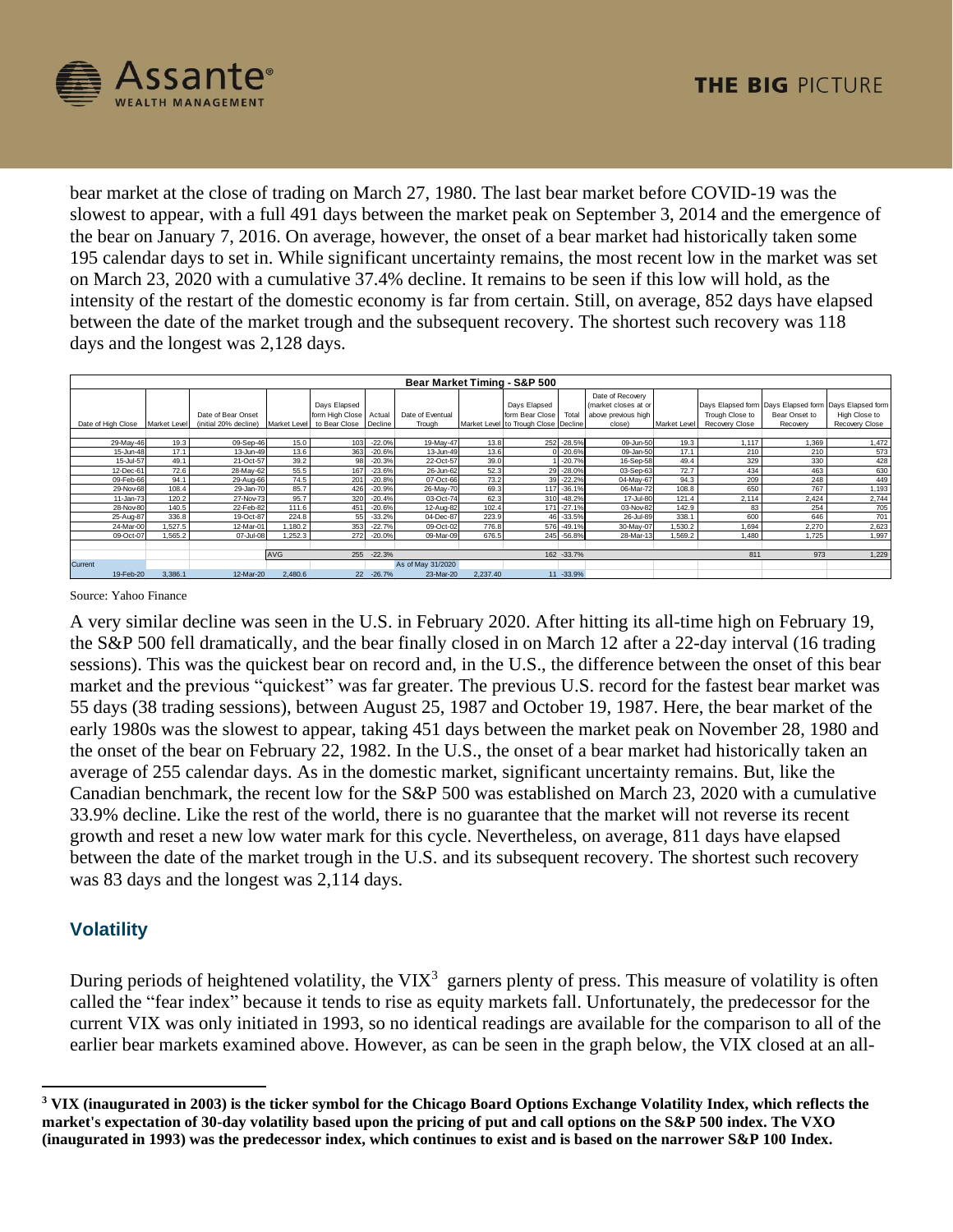

bear market at the close of trading on March 27, 1980. The last bear market before COVID-19 was the slowest to appear, with a full 491 days between the market peak on September 3, 2014 and the emergence of the bear on January 7, 2016. On average, however, the onset of a bear market had historically taken some 195 calendar days to set in. While significant uncertainty remains, the most recent low in the market was set on March 23, 2020 with a cumulative 37.4% decline. It remains to be seen if this low will hold, as the intensity of the restart of the domestic economy is far from certain. Still, on average, 852 days have elapsed between the date of the market trough and the subsequent recovery. The shortest such recovery was 118 days and the longest was 2,128 days.

| Bear Market Timing - S&P 500 |              |                                             |              |                                                            |          |                            |          |                                                                         |             |                                                                           |              |                                   |                           |                                                                                          |
|------------------------------|--------------|---------------------------------------------|--------------|------------------------------------------------------------|----------|----------------------------|----------|-------------------------------------------------------------------------|-------------|---------------------------------------------------------------------------|--------------|-----------------------------------|---------------------------|------------------------------------------------------------------------------------------|
| Date of High Close           | Market Level | Date of Bear Onset<br>(initial 20% decline) | Market Level | Days Elapsed<br>form High Close<br>to Bear Close   Decline | Actual   | Date of Eventual<br>Trough |          | Days Elapsed<br>form Bear Close<br>Market Level to Trough Close Decline | Total       | Date of Recovery<br>(market closes at or<br>above previous high<br>close) | Market Level | Trough Close to<br>Recovery Close | Bear Onset to<br>Recovery | Days Elapsed form Days Elapsed form Days Elapsed form<br>High Close to<br>Recovery Close |
| 29-May-46                    | 19.3         | 09-Sep-46                                   | 15.0         | 103                                                        | $-22.0%$ | 19-May-47                  | 13.8     | 252                                                                     | $-28.5%$    | 09-Jun-50                                                                 | 19.3         | 1.117                             | 1,369                     | 1,472                                                                                    |
| 15-Jun-48                    | 17.1         | 13-Jun-49                                   | 13.6         | 363                                                        | $-20.6%$ | 13-Jun-49                  | 13.6     |                                                                         | $-20.6%$    | 09-Jan-50                                                                 | 17.1         | 210                               | 210                       | 573                                                                                      |
| 15-Jul-57                    | 49.1         | 21-Oct-57                                   | 39.2         | 98                                                         | $-20.3%$ | 22-Oct-57                  | 39.0     |                                                                         | $-20.7%$    | 16-Sep-58                                                                 | 49.4         | 329                               | 330                       | 428                                                                                      |
| 12-Dec-61                    | 72.6         | 28-May-62                                   | 55.5         | 167                                                        | $-23.6%$ | 26-Jun-62                  | 52.3     |                                                                         | $-28.0%$    | 03-Sep-63                                                                 | 72.7         | 434                               | 463                       | 630                                                                                      |
| 09-Feb-66                    | 94.1         | 29-Aug-66                                   | 74.5         | 201                                                        | $-20.8%$ | 07-Oct-66                  | 73.2     |                                                                         | $-22.2%$    | 04-May-67                                                                 | 94.3         | 209                               | 248                       | 449                                                                                      |
| 29-Nov-68                    | 108.4        | 29-Jan-70                                   | 85.7         | 426                                                        | $-20.9%$ | 26-May-70                  | 69.3     | 117                                                                     | $-36.1%$    | 06-Mar-72                                                                 | 108.8        | 650                               | 767                       | 1,193                                                                                    |
| 11-Jan-73                    | 120.2        | 27-Nov-73                                   | 95.7         | 320                                                        | $-20.4%$ | 03-Oct-74                  | 62.3     | 310                                                                     | $-48.2%$    | 17-Jul-80                                                                 | 121.4        | 2,114                             | 2.424                     | 2,744                                                                                    |
| 28-Nov-80                    | 140.5        | 22-Feb-82                                   | 111.6        | 451                                                        | $-20.6%$ | 12-Aug-82                  | 102.4    | 171                                                                     | $-27.1%$    | 03-Nov-82                                                                 | 142.9        | 83                                | 254                       | 705                                                                                      |
| 25-Aug-87                    | 336.8        | 19-Oct-87                                   | 224.8        | 55                                                         | $-33.2%$ | 04-Dec-87                  | 223.9    | 46                                                                      | $-33.5%$    | 26-Jul-89                                                                 | 338.1        | 600                               | 646                       | 701                                                                                      |
| 24-Mar-00                    | 1.527.5      | 12-Mar-01                                   | 1,180.2      | 353                                                        | $-22.7%$ | 09-Oct-02                  | 776.8    | 576                                                                     | $-49.1%$    | 30-May-07                                                                 | 1,530.2      | .694                              | 2,270                     | 2,623                                                                                    |
| 09-Oct-07                    | 1,565.2      | 07-Jul-08                                   | 1,252.3      | 272                                                        | $-20.0%$ | 09-Mar-09                  | 676.5    |                                                                         | 245 - 56.8% | 28-Mar-13                                                                 | 1,569.2      | 1.480                             | 1,725                     | 1,997                                                                                    |
|                              |              |                                             |              |                                                            |          |                            |          |                                                                         |             |                                                                           |              |                                   |                           |                                                                                          |
|                              |              |                                             | <b>AVG</b>   | 255                                                        | $-22.3%$ |                            |          |                                                                         | 162 - 33.7% |                                                                           |              | 811                               | 973                       | 1,229                                                                                    |
| Current                      |              |                                             |              |                                                            |          | As of May 31/2020          |          |                                                                         |             |                                                                           |              |                                   |                           |                                                                                          |
| 19-Feb-20                    | 3,386.1      | 12-Mar-20                                   | 2,480.6      | 22                                                         | $-26.7%$ | 23-Mar-20                  | 2,237.40 |                                                                         | 11 -33.9%   |                                                                           |              |                                   |                           |                                                                                          |

Source: Yahoo Finance

A very similar decline was seen in the U.S. in February 2020. After hitting its all-time high on February 19, the S&P 500 fell dramatically, and the bear finally closed in on March 12 after a 22-day interval (16 trading sessions). This was the quickest bear on record and, in the U.S., the difference between the onset of this bear market and the previous "quickest" was far greater. The previous U.S. record for the fastest bear market was 55 days (38 trading sessions), between August 25, 1987 and October 19, 1987. Here, the bear market of the early 1980s was the slowest to appear, taking 451 days between the market peak on November 28, 1980 and the onset of the bear on February 22, 1982. In the U.S., the onset of a bear market had historically taken an average of 255 calendar days. As in the domestic market, significant uncertainty remains. But, like the Canadian benchmark, the recent low for the S&P 500 was established on March 23, 2020 with a cumulative 33.9% decline. Like the rest of the world, there is no guarantee that the market will not reverse its recent growth and reset a new low water mark for this cycle. Nevertheless, on average, 811 days have elapsed between the date of the market trough in the U.S. and its subsequent recovery. The shortest such recovery was 83 days and the longest was 2,114 days.

### **Volatility**

During periods of heightened volatility, the VIX<sup>3</sup> garners plenty of press. This measure of volatility is often called the "fear index" because it tends to rise as equity markets fall. Unfortunately, the predecessor for the current VIX was only initiated in 1993, so no identical readings are available for the comparison to all of the earlier bear markets examined above. However, as can be seen in the graph below, the VIX closed at an all-

**<sup>3</sup> VIX (inaugurated in 2003) is the ticker symbol for the Chicago Board Options Exchange Volatility Index, which reflects the market's expectation of 30-day volatility based upon the pricing of put and call options on the S&P 500 index. The VXO (inaugurated in 1993) was the predecessor index, which continues to exist and is based on the narrower S&P 100 Index.**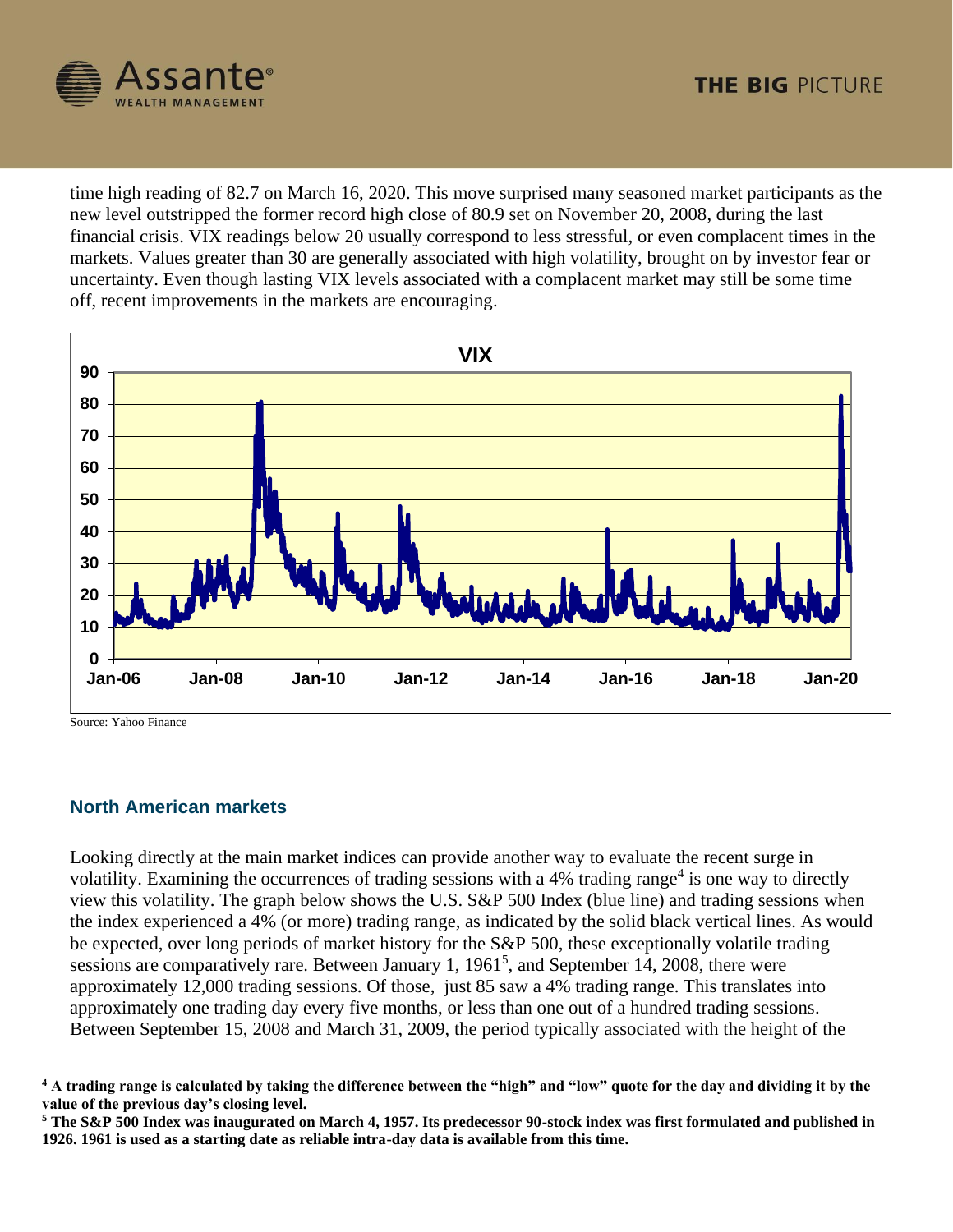

time high reading of 82.7 on March 16, 2020. This move surprised many seasoned market participants as the new level outstripped the former record high close of 80.9 set on November 20, 2008, during the last financial crisis. VIX readings below 20 usually correspond to less stressful, or even complacent times in the markets. Values greater than 30 are generally associated with high volatility, brought on by investor fear or uncertainty. Even though lasting VIX levels associated with a complacent market may still be some time off, recent improvements in the markets are encouraging.



Source: Yahoo Finance

### **North American markets**

Looking directly at the main market indices can provide another way to evaluate the recent surge in volatility. Examining the occurrences of trading sessions with a  $4%$  trading range<sup>4</sup> is one way to directly view this volatility. The graph below shows the U.S. S&P 500 Index (blue line) and trading sessions when the index experienced a 4% (or more) trading range, as indicated by the solid black vertical lines. As would be expected, over long periods of market history for the S&P 500, these exceptionally volatile trading sessions are comparatively rare. Between January 1,  $1961<sup>5</sup>$ , and September 14, 2008, there were approximately 12,000 trading sessions. Of those, just 85 saw a 4% trading range. This translates into approximately one trading day every five months, or less than one out of a hundred trading sessions. Between September 15, 2008 and March 31, 2009, the period typically associated with the height of the

**<sup>4</sup> A trading range is calculated by taking the difference between the "high" and "low" quote for the day and dividing it by the value of the previous day's closing level.**

**<sup>5</sup> The S&P 500 Index was inaugurated on March 4, 1957. Its predecessor 90-stock index was first formulated and published in 1926. 1961 is used as a starting date as reliable intra-day data is available from this time.**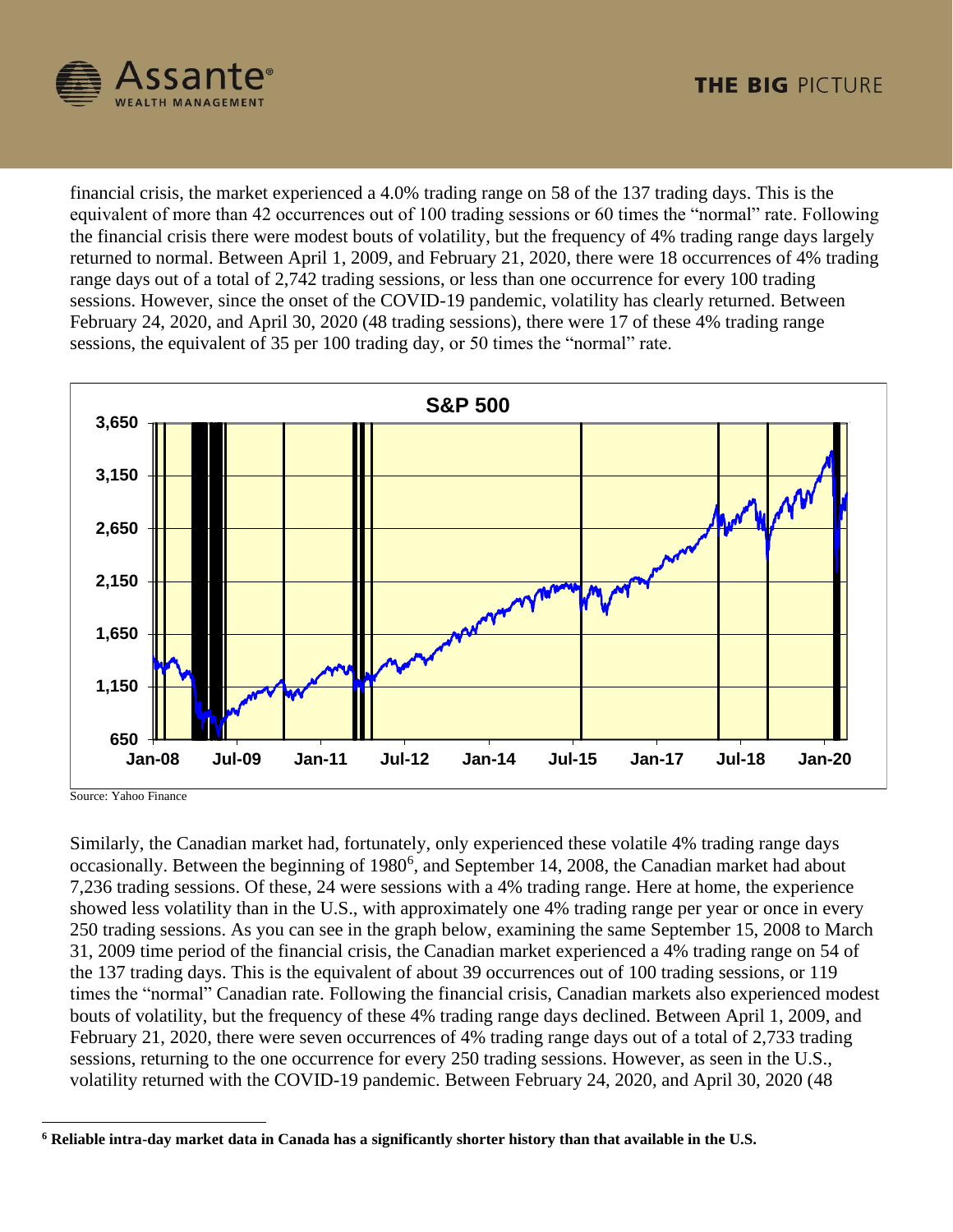

financial crisis, the market experienced a 4.0% trading range on 58 of the 137 trading days. This is the equivalent of more than 42 occurrences out of 100 trading sessions or 60 times the "normal" rate. Following the financial crisis there were modest bouts of volatility, but the frequency of 4% trading range days largely returned to normal. Between April 1, 2009, and February 21, 2020, there were 18 occurrences of 4% trading range days out of a total of 2,742 trading sessions, or less than one occurrence for every 100 trading sessions. However, since the onset of the COVID-19 pandemic, volatility has clearly returned. Between February 24, 2020, and April 30, 2020 (48 trading sessions), there were 17 of these 4% trading range sessions, the equivalent of 35 per 100 trading day, or 50 times the "normal" rate.



Source: Yahoo Finance

Similarly, the Canadian market had, fortunately, only experienced these volatile 4% trading range days occasionally. Between the beginning of 1980<sup>6</sup>, and September 14, 2008, the Canadian market had about 7,236 trading sessions. Of these, 24 were sessions with a 4% trading range. Here at home, the experience showed less volatility than in the U.S., with approximately one 4% trading range per year or once in every 250 trading sessions. As you can see in the graph below, examining the same September 15, 2008 to March 31, 2009 time period of the financial crisis, the Canadian market experienced a 4% trading range on 54 of the 137 trading days. This is the equivalent of about 39 occurrences out of 100 trading sessions, or 119 times the "normal" Canadian rate. Following the financial crisis, Canadian markets also experienced modest bouts of volatility, but the frequency of these 4% trading range days declined. Between April 1, 2009, and February 21, 2020, there were seven occurrences of 4% trading range days out of a total of 2,733 trading sessions, returning to the one occurrence for every 250 trading sessions. However, as seen in the U.S., volatility returned with the COVID-19 pandemic. Between February 24, 2020, and April 30, 2020 (48

**<sup>6</sup> Reliable intra-day market data in Canada has a significantly shorter history than that available in the U.S.**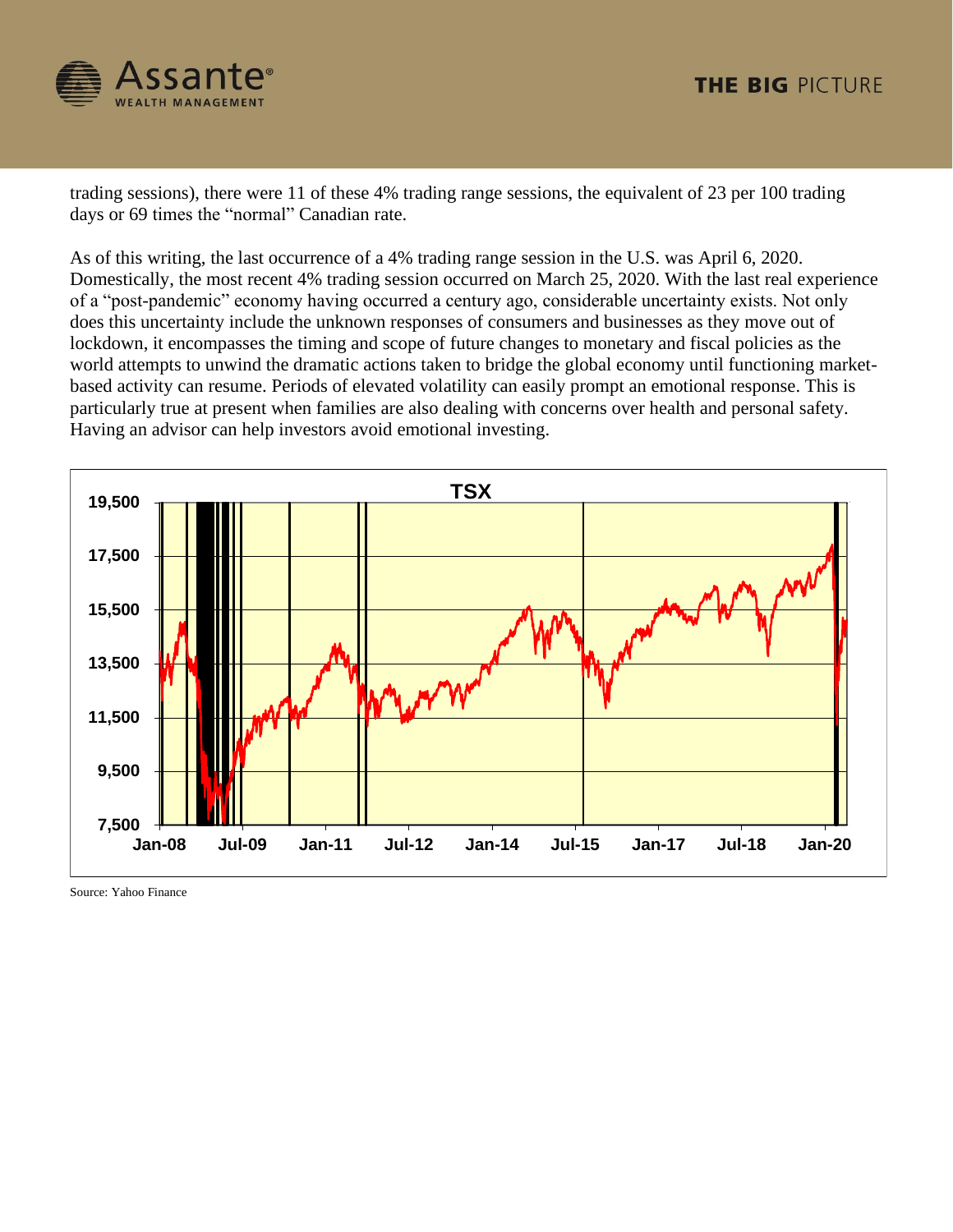

trading sessions), there were 11 of these 4% trading range sessions, the equivalent of 23 per 100 trading days or 69 times the "normal" Canadian rate.

As of this writing, the last occurrence of a 4% trading range session in the U.S. was April 6, 2020. Domestically, the most recent 4% trading session occurred on March 25, 2020. With the last real experience of a "post-pandemic" economy having occurred a century ago, considerable uncertainty exists. Not only does this uncertainty include the unknown responses of consumers and businesses as they move out of lockdown, it encompasses the timing and scope of future changes to monetary and fiscal policies as the world attempts to unwind the dramatic actions taken to bridge the global economy until functioning marketbased activity can resume. Periods of elevated volatility can easily prompt an emotional response. This is particularly true at present when families are also dealing with concerns over health and personal safety. Having an advisor can help investors avoid emotional investing.



Source: Yahoo Finance